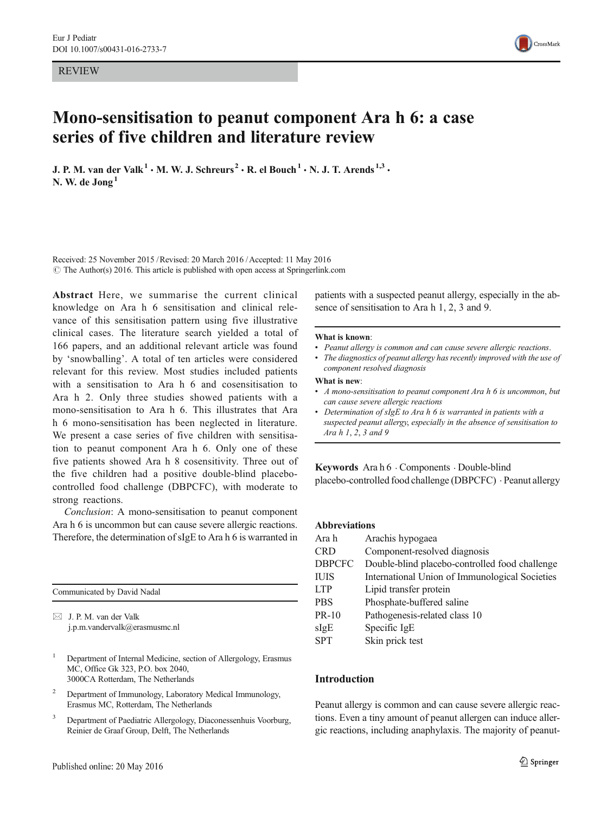REVIEW



# Mono-sensitisation to peanut component Ara h 6: a case series of five children and literature review

J. P. M. van der Valk<sup>1</sup>  $\cdot$  M. W. J. Schreurs<sup>2</sup>  $\cdot$  R. el Bouch<sup>1</sup>  $\cdot$  N. J. T. Arends<sup>1,3</sup>  $\cdot$ N. W. de Jong<sup>1</sup>

Received: 25 November 2015 /Revised: 20 March 2016 /Accepted: 11 May 2016  $\odot$  The Author(s) 2016. This article is published with open access at Springerlink.com

Abstract Here, we summarise the current clinical knowledge on Ara h 6 sensitisation and clinical relevance of this sensitisation pattern using five illustrative clinical cases. The literature search yielded a total of 166 papers, and an additional relevant article was found by 'snowballing'. A total of ten articles were considered relevant for this review. Most studies included patients with a sensitisation to Ara h 6 and cosensitisation to Ara h 2. Only three studies showed patients with a mono-sensitisation to Ara h 6. This illustrates that Ara h 6 mono-sensitisation has been neglected in literature. We present a case series of five children with sensitisation to peanut component Ara h 6. Only one of these five patients showed Ara h 8 cosensitivity. Three out of the five children had a positive double-blind placebocontrolled food challenge (DBPCFC), with moderate to strong reactions.

Conclusion: A mono-sensitisation to peanut component Ara h 6 is uncommon but can cause severe allergic reactions. Therefore, the determination of sIgE to Ara h 6 is warranted in

| Communicated by David Nadal |                                                                    |  |  |  |  |
|-----------------------------|--------------------------------------------------------------------|--|--|--|--|
|                             | $\boxtimes$ J. P. M. van der Valk<br>j.p.m.vandervalk@erasmusmc.nl |  |  |  |  |

<sup>1</sup> Department of Internal Medicine, section of Allergology, Erasmus

MC, Office Gk 323, P.O. box 2040, 3000CA Rotterdam, The Netherlands

- <sup>2</sup> Department of Immunology, Laboratory Medical Immunology, Erasmus MC, Rotterdam, The Netherlands
- <sup>3</sup> Department of Paediatric Allergology, Diaconessenhuis Voorburg, Reinier de Graaf Group, Delft, The Netherlands

patients with a suspected peanut allergy, especially in the absence of sensitisation to Ara h 1, 2, 3 and 9.

#### What is known:

- Peanut allergy is common and can cause severe allergic reactions.
- The diagnostics of peanut allergy has recently improved with the use of component resolved diagnosis

#### What is new:

- A mono-sensitisation to peanut component Ara h 6 is uncommon, but can cause severe allergic reactions
- Determination of sIgE to Ara h 6 is warranted in patients with a suspected peanut allergy, especially in the absence of sensitisation to Ara h 1, 2, 3 and 9

Keywords Ara h 6 . Components . Double-blind placebo-controlled food challenge (DBPCFC) . Peanut allergy

#### Abbreviations

| Ara h         | Arachis hypogaea                               |
|---------------|------------------------------------------------|
| <b>CRD</b>    | Component-resolved diagnosis                   |
| <b>DBPCFC</b> | Double-blind placebo-controlled food challenge |
| <b>IUIS</b>   | International Union of Immunological Societies |
| <b>LTP</b>    | Lipid transfer protein                         |
| <b>PBS</b>    | Phosphate-buffered saline                      |
| $PR-10$       | Pathogenesis-related class 10                  |
| sIgE          | Specific IgE                                   |
| <b>SPT</b>    | Skin prick test                                |
|               |                                                |

#### Introduction

Peanut allergy is common and can cause severe allergic reactions. Even a tiny amount of peanut allergen can induce allergic reactions, including anaphylaxis. The majority of peanut-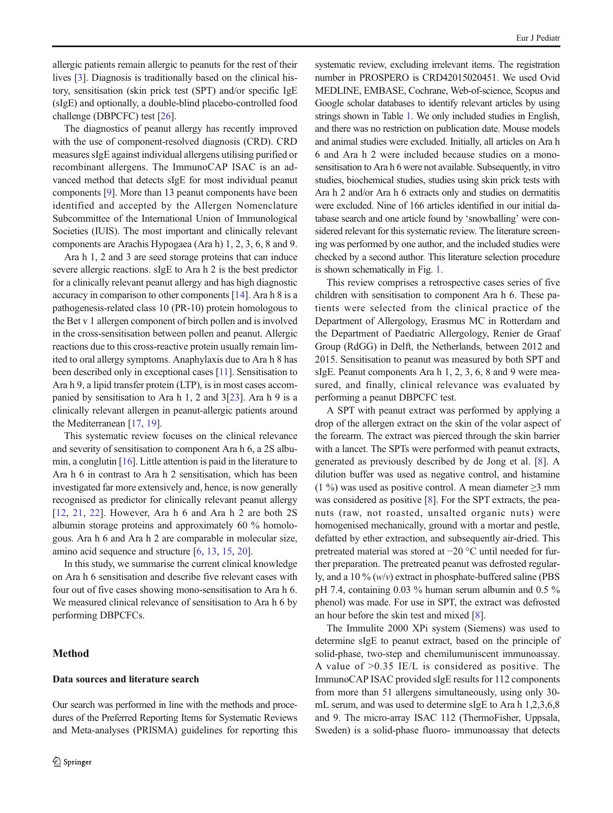allergic patients remain allergic to peanuts for the rest of their lives [\[3](#page-6-0)]. Diagnosis is traditionally based on the clinical history, sensitisation (skin prick test (SPT) and/or specific IgE (sIgE) and optionally, a double-blind placebo-controlled food challenge (DBPCFC) test [\[26\]](#page-7-0).

The diagnostics of peanut allergy has recently improved with the use of component-resolved diagnosis (CRD). CRD measures sIgE against individual allergens utilising purified or recombinant allergens. The ImmunoCAP ISAC is an advanced method that detects sIgE for most individual peanut components [[9\]](#page-7-0). More than 13 peanut components have been identified and accepted by the Allergen Nomenclature Subcommittee of the International Union of Immunological Societies (IUIS). The most important and clinically relevant components are Arachis Hypogaea (Ara h) 1, 2, 3, 6, 8 and 9.

Ara h 1, 2 and 3 are seed storage proteins that can induce severe allergic reactions. sIgE to Ara h 2 is the best predictor for a clinically relevant peanut allergy and has high diagnostic accuracy in comparison to other components [\[14\]](#page-7-0). Ara h 8 is a pathogenesis-related class 10 (PR-10) protein homologous to the Bet v 1 allergen component of birch pollen and is involved in the cross-sensitisation between pollen and peanut. Allergic reactions due to this cross-reactive protein usually remain limited to oral allergy symptoms. Anaphylaxis due to Ara h 8 has been described only in exceptional cases [[11](#page-7-0)]. Sensitisation to Ara h 9, a lipid transfer protein (LTP), is in most cases accompanied by sensitisation to Ara h 1, 2 and 3[\[23](#page-7-0)]. Ara h 9 is a clinically relevant allergen in peanut-allergic patients around the Mediterranean [[17](#page-7-0), [19](#page-7-0)].

This systematic review focuses on the clinical relevance and severity of sensitisation to component Ara h 6, a 2S albumin, a conglutin [[16](#page-7-0)]. Little attention is paid in the literature to Ara h 6 in contrast to Ara h 2 sensitisation, which has been investigated far more extensively and, hence, is now generally recognised as predictor for clinically relevant peanut allergy [\[12](#page-7-0), [21,](#page-7-0) [22](#page-7-0)]. However, Ara h 6 and Ara h 2 are both 2S albumin storage proteins and approximately 60 % homologous. Ara h 6 and Ara h 2 are comparable in molecular size, amino acid sequence and structure [[6,](#page-6-0) [13,](#page-7-0) [15,](#page-7-0) [20](#page-7-0)].

In this study, we summarise the current clinical knowledge on Ara h 6 sensitisation and describe five relevant cases with four out of five cases showing mono-sensitisation to Ara h 6. We measured clinical relevance of sensitisation to Ara h 6 by performing DBPCFCs.

## Method

#### Data sources and literature search

Our search was performed in line with the methods and procedures of the Preferred Reporting Items for Systematic Reviews and Meta-analyses (PRISMA) guidelines for reporting this systematic review, excluding irrelevant items. The registration number in PROSPERO is CRD42015020451. We used Ovid MEDLINE, EMBASE, Cochrane, Web-of-science, Scopus and Google scholar databases to identify relevant articles by using strings shown in Table [1.](#page-2-0) We only included studies in English, and there was no restriction on publication date. Mouse models and animal studies were excluded. Initially, all articles on Ara h 6 and Ara h 2 were included because studies on a monosensitisation to Ara h 6 were not available. Subsequently, in vitro studies, biochemical studies, studies using skin prick tests with Ara h 2 and/or Ara h 6 extracts only and studies on dermatitis were excluded. Nine of 166 articles identified in our initial database search and one article found by 'snowballing' were considered relevant for this systematic review. The literature screening was performed by one author, and the included studies were checked by a second author. This literature selection procedure is shown schematically in Fig. [1](#page-2-0).

This review comprises a retrospective cases series of five children with sensitisation to component Ara h 6. These patients were selected from the clinical practice of the Department of Allergology, Erasmus MC in Rotterdam and the Department of Paediatric Allergology, Renier de Graaf Group (RdGG) in Delft, the Netherlands, between 2012 and 2015. Sensitisation to peanut was measured by both SPT and sIgE. Peanut components Ara h 1, 2, 3, 6, 8 and 9 were measured, and finally, clinical relevance was evaluated by performing a peanut DBPCFC test.

A SPT with peanut extract was performed by applying a drop of the allergen extract on the skin of the volar aspect of the forearm. The extract was pierced through the skin barrier with a lancet. The SPTs were performed with peanut extracts, generated as previously described by de Jong et al. [[8\]](#page-6-0). A dilution buffer was used as negative control, and histamine (1 %) was used as positive control. A mean diameter  $\geq$ 3 mm was considered as positive [[8](#page-6-0)]. For the SPT extracts, the peanuts (raw, not roasted, unsalted organic nuts) were homogenised mechanically, ground with a mortar and pestle, defatted by ether extraction, and subsequently air-dried. This pretreated material was stored at −20 °C until needed for further preparation. The pretreated peanut was defrosted regularly, and a 10 %  $(w/v)$  extract in phosphate-buffered saline (PBS) pH 7.4, containing 0.03 % human serum albumin and 0.5 % phenol) was made. For use in SPT, the extract was defrosted an hour before the skin test and mixed [[8\]](#page-6-0).

The Immulite 2000 XPi system (Siemens) was used to determine sIgE to peanut extract, based on the principle of solid-phase, two-step and chemilumuniscent immunoassay. A value of >0.35 IE/L is considered as positive. The ImmunoCAP ISAC provided sIgE results for 112 components from more than 51 allergens simultaneously, using only 30 mL serum, and was used to determine sIgE to Ara h 1,2,3,6,8 and 9. The micro-array ISAC 112 (ThermoFisher, Uppsala, Sweden) is a solid-phase fluoro- immunoassay that detects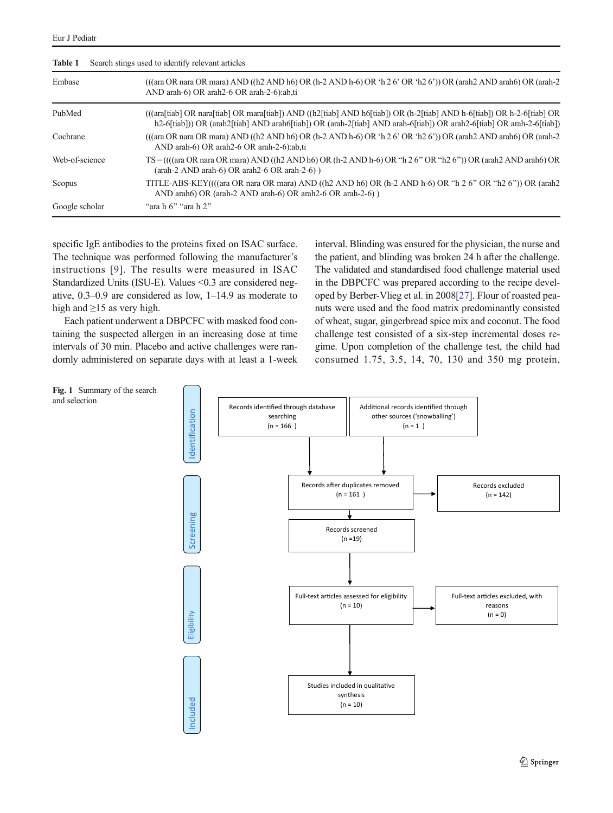<span id="page-2-0"></span>

| Search stings used to identify relevant articles<br>Table 1 |                                                                                                                                                                                                                                              |  |  |  |  |
|-------------------------------------------------------------|----------------------------------------------------------------------------------------------------------------------------------------------------------------------------------------------------------------------------------------------|--|--|--|--|
| Embase                                                      | $((\text{qra OR nara OR mara) AND } (\text{h2 AND h6}) OR (\text{h-2 AND h-6}) OR 'h 2 6' OR 'h 2 6')) OR (\text{arah2 AND arah6}) OR (\text{arah-2})$<br>AND arah-6) OR arah2-6 OR arah-2-6):ab,ti                                          |  |  |  |  |
| PubMed                                                      | (((ara[tiab] OR nara[tiab] OR mara[tiab]) AND ((h2[tiab] AND h6[tiab]) OR (h-2[tiab] AND h-6[tiab]) OR h-2-6[tiab] OR<br>h2-6[tiab]) OR (arah2[tiab] AND arah6[tiab]) OR (arah-2[tiab] AND arah-6[tiab]) OR arah2-6[tiab] OR arah-2-6[tiab]) |  |  |  |  |
| Cochrane                                                    | $((\text{(\text{arg OR nara OR mara}) AND } ((h2 AND h6) OR (h-2 AND h-6) OR 'h 2 6' OR 'h2 6')) OR (\text{arah2 AND arah6}) OR (\text{arah-2})$<br>AND arah-6) OR arah2-6 OR arah-2-6):ab,ti                                                |  |  |  |  |
| Web-of-science                                              | $TS = (((\text{ara OR nara OR nara) AND }((h2 AND h6) OR (h-2 AND h-6) OR "h 2 6" OR "h 2 6") OR (\text{arah2 AND arah6}) OR$<br>$(\text{arah-2 AND arah-6}) \text{ OR arah2-6 OR arah-2-6})$                                                |  |  |  |  |
| Scopus                                                      | TITLE-ABS-KEY((((ara OR nara OR mara) AND ((h2 AND h6) OR (h-2 AND h-6) OR "h 2 6" OR "h2 6")) OR (arah2<br>AND arah6) OR (arah-2 AND arah-6) OR arah2-6 OR arah-2-6) )                                                                      |  |  |  |  |
| Google scholar                                              | "ara $h$ 6" "ara $h$ 2"                                                                                                                                                                                                                      |  |  |  |  |

specific IgE antibodies to the proteins fixed on ISAC surface. The technique was performed following the manufacturer's instructions [[9](#page-7-0)]. The results were measured in ISAC Standardized Units (ISU-E). Values <0.3 are considered negative, 0.3–0.9 are considered as low, 1–14.9 as moderate to high and  $\geq$ 15 as very high.

Each patient underwent a DBPCFC with masked food containing the suspected allergen in an increasing dose at time intervals of 30 min. Placebo and active challenges were randomly administered on separate days with at least a 1-week interval. Blinding was ensured for the physician, the nurse and the patient, and blinding was broken 24 h after the challenge. The validated and standardised food challenge material used in the DBPCFC was prepared according to the recipe developed by Berber-Vlieg et al. in 2008[\[27\]](#page-7-0). Flour of roasted peanuts were used and the food matrix predominantly consisted of wheat, sugar, gingerbread spice mix and coconut. The food challenge test consisted of a six-step incremental doses regime. Upon completion of the challenge test, the child had consumed 1.75, 3.5, 14, 70, 130 and 350 mg protein,



2 Springer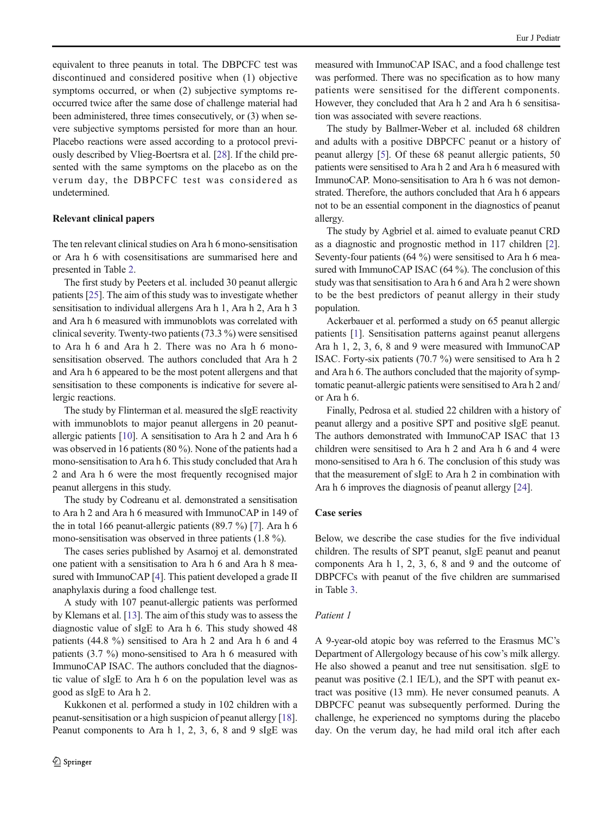equivalent to three peanuts in total. The DBPCFC test was discontinued and considered positive when (1) objective symptoms occurred, or when (2) subjective symptoms reoccurred twice after the same dose of challenge material had been administered, three times consecutively, or (3) when severe subjective symptoms persisted for more than an hour. Placebo reactions were assed according to a protocol previously described by Vlieg-Boertsra et al. [[28](#page-7-0)]. If the child presented with the same symptoms on the placebo as on the verum day, the DBPCFC test was considered as undetermined.

#### Relevant clinical papers

The ten relevant clinical studies on Ara h 6 mono-sensitisation or Ara h 6 with cosensitisations are summarised here and presented in Table [2.](#page-4-0)

The first study by Peeters et al. included 30 peanut allergic patients [\[25\]](#page-7-0). The aim of this study was to investigate whether sensitisation to individual allergens Ara h 1, Ara h 2, Ara h 3 and Ara h 6 measured with immunoblots was correlated with clinical severity. Twenty-two patients (73.3 %) were sensitised to Ara h 6 and Ara h 2. There was no Ara h 6 monosensitisation observed. The authors concluded that Ara h 2 and Ara h 6 appeared to be the most potent allergens and that sensitisation to these components is indicative for severe allergic reactions.

The study by Flinterman et al. measured the sIgE reactivity with immunoblots to major peanut allergens in 20 peanutallergic patients [[10](#page-7-0)]. A sensitisation to Ara h 2 and Ara h 6 was observed in 16 patients (80 %). None of the patients had a mono-sensitisation to Ara h 6. This study concluded that Ara h 2 and Ara h 6 were the most frequently recognised major peanut allergens in this study.

The study by Codreanu et al. demonstrated a sensitisation to Ara h 2 and Ara h 6 measured with ImmunoCAP in 149 of the in total 166 peanut-allergic patients (89.7 %) [\[7\]](#page-6-0). Ara h 6 mono-sensitisation was observed in three patients (1.8 %).

The cases series published by Asarnoj et al. demonstrated one patient with a sensitisation to Ara h 6 and Ara h 8 mea-sured with ImmunoCAP [[4\]](#page-6-0). This patient developed a grade II anaphylaxis during a food challenge test.

A study with 107 peanut-allergic patients was performed by Klemans et al. [\[13](#page-7-0)]. The aim of this study was to assess the diagnostic value of sIgE to Ara h 6. This study showed 48 patients (44.8 %) sensitised to Ara h 2 and Ara h 6 and 4 patients (3.7 %) mono-sensitised to Ara h 6 measured with ImmunoCAP ISAC. The authors concluded that the diagnostic value of sIgE to Ara h 6 on the population level was as good as sIgE to Ara h 2.

Kukkonen et al. performed a study in 102 children with a peanut-sensitisation or a high suspicion of peanut allergy [[18\]](#page-7-0). Peanut components to Ara h 1, 2, 3, 6, 8 and 9 sIgE was

measured with ImmunoCAP ISAC, and a food challenge test was performed. There was no specification as to how many patients were sensitised for the different components. However, they concluded that Ara h 2 and Ara h 6 sensitisation was associated with severe reactions.

The study by Ballmer-Weber et al. included 68 children and adults with a positive DBPCFC peanut or a history of peanut allergy [[5\]](#page-6-0). Of these 68 peanut allergic patients, 50 patients were sensitised to Ara h 2 and Ara h 6 measured with ImmunoCAP. Mono-sensitisation to Ara h 6 was not demonstrated. Therefore, the authors concluded that Ara h 6 appears not to be an essential component in the diagnostics of peanut allergy.

The study by Agbriel et al. aimed to evaluate peanut CRD as a diagnostic and prognostic method in 117 children [[2\]](#page-6-0). Seventy-four patients (64 %) were sensitised to Ara h 6 measured with ImmunoCAP ISAC (64 %). The conclusion of this study was that sensitisation to Ara h 6 and Ara h 2 were shown to be the best predictors of peanut allergy in their study population.

Ackerbauer et al. performed a study on 65 peanut allergic patients [[1\]](#page-6-0). Sensitisation patterns against peanut allergens Ara h 1, 2, 3, 6, 8 and 9 were measured with ImmunoCAP ISAC. Forty-six patients (70.7 %) were sensitised to Ara h 2 and Ara h 6. The authors concluded that the majority of symptomatic peanut-allergic patients were sensitised to Ara h 2 and/ or Ara h 6.

Finally, Pedrosa et al. studied 22 children with a history of peanut allergy and a positive SPT and positive sIgE peanut. The authors demonstrated with ImmunoCAP ISAC that 13 children were sensitised to Ara h 2 and Ara h 6 and 4 were mono-sensitised to Ara h 6. The conclusion of this study was that the measurement of sIgE to Ara h 2 in combination with Ara h 6 improves the diagnosis of peanut allergy [\[24](#page-7-0)].

#### Case series

Below, we describe the case studies for the five individual children. The results of SPT peanut, sIgE peanut and peanut components Ara h 1, 2, 3, 6, 8 and 9 and the outcome of DBPCFCs with peanut of the five children are summarised in Table [3](#page-5-0).

#### Patient 1

A 9-year-old atopic boy was referred to the Erasmus MC's Department of Allergology because of his cow's milk allergy. He also showed a peanut and tree nut sensitisation. sIgE to peanut was positive (2.1 IE/L), and the SPT with peanut extract was positive (13 mm). He never consumed peanuts. A DBPCFC peanut was subsequently performed. During the challenge, he experienced no symptoms during the placebo day. On the verum day, he had mild oral itch after each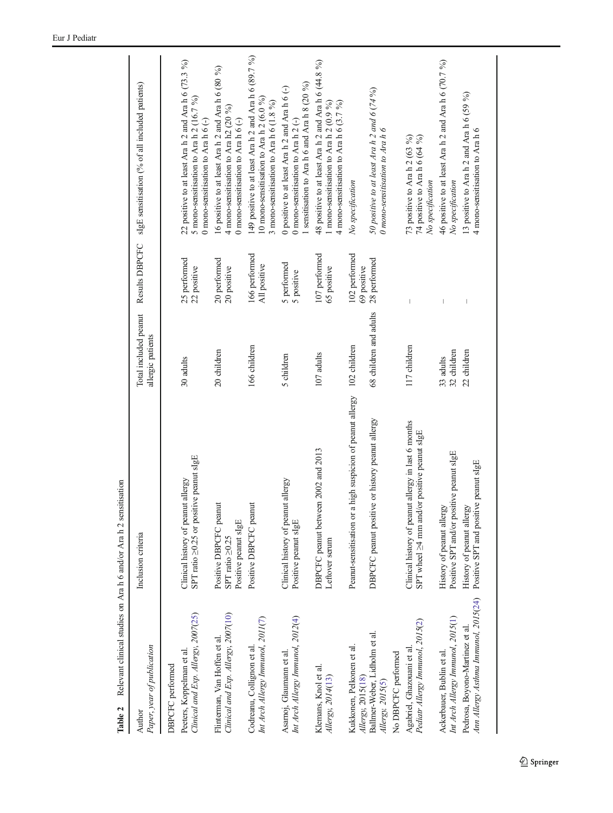<span id="page-4-0"></span>

| Table 2                                                                                     | Relevant clinical studies on Ara h 6 and/or Ara h 2 sensitisation                                  |                                            |                                |                                                                                                                                                 |
|---------------------------------------------------------------------------------------------|----------------------------------------------------------------------------------------------------|--------------------------------------------|--------------------------------|-------------------------------------------------------------------------------------------------------------------------------------------------|
| Paper, year of publication<br>Author                                                        | Inclusion criteria                                                                                 | Total included peanut<br>allergic patients | Results DBPCFC                 | sIgE sensitisation (% of all included patients)                                                                                                 |
| Clinical and Exp. Allergy, 2007(25)<br>Peeters, Koppelman et al.<br><b>DBPCFC</b> performed | SPT ratio ≥0.25 or positive peanut sIgE<br>Clinical history of peanut allergy                      | 30 adults                                  | 25 performed<br>22 positive    | 22 positive to at least Ara h 2 and Ara h 6 (73.3 %)<br>5 mono-sensitisation to Ara h 2 (16.7 %)<br>0 mono-sensitisation to Ara $h$ 6 $(-)$     |
| Clinical and Exp. Allergy, 2007(10)<br>Flinterman, Van Hoffen et al.                        | Positive DBPCFC peanut<br>Positive peanut sIgE<br>SPT ratio ≥0.25                                  | 20 children                                | 20 performed<br>20 positive    | 16 positive to at least Ara h 2 and Ara h 6 (80 %)<br>4 mono-sensitisation to Ara h2 $(20\%)$<br>0 mono-sensitisation to Ara h $6$ (-)          |
| Int Arch Allergy Immunol, 2011(7)<br>Codreanu, Collignon et al.                             | Positive DBPCFC peanut                                                                             | 166 children                               | 166 performed<br>All positive  | 149 positive to at least Ara h 2 and Ara h 6 (89.7 %)<br>10 mono-sensitisation to Ara h $2(6.0\%)$<br>3 mono-sensitisation to Ara h $6$ (1.8 %) |
| Int Arch Allergy Immunol, 2012(4)<br>Asamoj, Glaumann et al                                 | Clinical history of peanut allergy<br>Positive peanut sIgE                                         | 5 children                                 | 5 performed<br>5 positive      | sensitisation to Ara h 6 and Ara h 8 (20 %)<br>0 positive to at least Ara $h$ 2 and Ara $h$ 6 $(-)$<br>0 mono-sensitisation to Ara h 2 (-)      |
| Klemans, Knol et al.<br>Allergy, 2014(13)                                                   | DBPCFC peanut between 2002 and 2013<br>Leftover serum                                              | 107 adults                                 | 107 performed<br>65 positive   | 48 positive to at least Ara h 2 and Ara h 6 (44.8 %)<br>I mono-sensitisation to Ara h $2(0.9\%)$<br>4 mono-sensitisation to Ara h 6 (3.7 %)     |
| Kukkonen, Pelkonen et al.<br>Allergy, 2015(18)                                              | a high suspicion of peanut allergy<br>Peanut-sensitisation or                                      | 102 children                               | 102 performed<br>69 positive   | No specification                                                                                                                                |
| Ballmer-Weber, Lidholm et al.<br>No DBPCFC performed<br>Allergy, 2015(5)                    | DBPCFC peanut positive or history peanut allergy                                                   | 68 children and adults                     | 28 performed                   | 50 positive to at least Ara h 2 and $6(74\%)$<br>0 mono-sensitisation to Ara h 6                                                                |
| Pediatr Allergy Immunol, 2015(2)<br>Agabriel, Ghazouani et al                               | Clinical history of peanut allergy in last 6 months<br>SPT wheel ≥4 mm and/or positive peanut sIgE | 117 children                               |                                | 74 positive to Ara h 6 (64 %)<br>73 positive to Ara h $2(63\%)$<br>No specification                                                             |
| Int Arch Allergy Immunol, 2015(1)<br>Ackerbauer, Bublin et al.                              | Positive SPT and/or positive peanut sIgE<br>History of peanut allergy                              | 32 children<br>33 adults                   |                                | 46 positive to at least Ara h 2 and Ara h $6(70.7\%)$<br>No specification                                                                       |
| Ann Allergy Asthma Immunol, 2015(24)<br>Pedrosa, Boyono-Martinez et al.                     | Positive SPT and positive peanut sIgE<br>History of peanut allergy                                 | 22 children                                | $\begin{array}{c} \end{array}$ | 13 positive to Ara $h$ 2 and Ara $h$ 6 (59 %)<br>4 mono-sensitisation to Ara h 6                                                                |
|                                                                                             |                                                                                                    |                                            |                                |                                                                                                                                                 |

 $\overline{\phantom{a}}$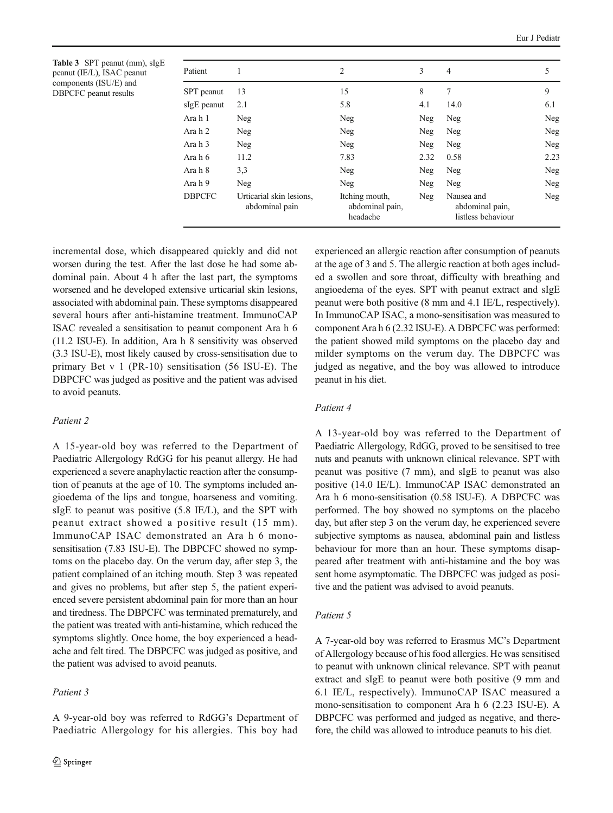<span id="page-5-0"></span>Table 3 SPT peanut (mm), sIgE peanut (IE/L), ISAC peanut components (ISU/E) and DBPCFC peanut results

| Patient       |                                            | 2                                             | 3    | $\overline{4}$                                      | 5          |
|---------------|--------------------------------------------|-----------------------------------------------|------|-----------------------------------------------------|------------|
| SPT peanut    | 13                                         | 15                                            | 8    | 7                                                   | 9          |
| sIgE peanut   | 2.1                                        | 5.8                                           | 4.1  | 14.0                                                | 6.1        |
| Ara h 1       | Neg                                        | Neg                                           | Neg  | Neg                                                 | Neg        |
| Ara h 2       | Neg                                        | Neg                                           | Neg  | Neg                                                 | Neg        |
| Ara h 3       | Neg                                        | Neg                                           | Neg  | Neg                                                 | Neg        |
| Ara h 6       | 11.2                                       | 7.83                                          | 2.32 | 0.58                                                | 2.23       |
| Ara h 8       | 3,3                                        | Neg                                           | Neg  | Neg                                                 | <b>Neg</b> |
| Ara h 9       | Neg                                        | Neg                                           | Neg  | Neg                                                 | Neg        |
| <b>DBPCFC</b> | Urticarial skin lesions,<br>abdominal pain | Itching mouth,<br>abdominal pain,<br>headache | Neg  | Nausea and<br>abdominal pain,<br>listless behaviour | Neg        |

incremental dose, which disappeared quickly and did not worsen during the test. After the last dose he had some abdominal pain. About 4 h after the last part, the symptoms worsened and he developed extensive urticarial skin lesions, associated with abdominal pain. These symptoms disappeared several hours after anti-histamine treatment. ImmunoCAP ISAC revealed a sensitisation to peanut component Ara h 6 (11.2 ISU-E). In addition, Ara h 8 sensitivity was observed (3.3 ISU-E), most likely caused by cross-sensitisation due to primary Bet v 1 (PR-10) sensitisation (56 ISU-E). The DBPCFC was judged as positive and the patient was advised to avoid peanuts.

# Patient 2

A 15-year-old boy was referred to the Department of Paediatric Allergology RdGG for his peanut allergy. He had experienced a severe anaphylactic reaction after the consumption of peanuts at the age of 10. The symptoms included angioedema of the lips and tongue, hoarseness and vomiting. sIgE to peanut was positive (5.8 IE/L), and the SPT with peanut extract showed a positive result (15 mm). ImmunoCAP ISAC demonstrated an Ara h 6 monosensitisation (7.83 ISU-E). The DBPCFC showed no symptoms on the placebo day. On the verum day, after step 3, the patient complained of an itching mouth. Step 3 was repeated and gives no problems, but after step 5, the patient experienced severe persistent abdominal pain for more than an hour and tiredness. The DBPCFC was terminated prematurely, and the patient was treated with anti-histamine, which reduced the symptoms slightly. Once home, the boy experienced a headache and felt tired. The DBPCFC was judged as positive, and the patient was advised to avoid peanuts.

# Patient 3

experienced an allergic reaction after consumption of peanuts at the age of 3 and 5. The allergic reaction at both ages included a swollen and sore throat, difficulty with breathing and angioedema of the eyes. SPT with peanut extract and sIgE peanut were both positive (8 mm and 4.1 IE/L, respectively). In ImmunoCAP ISAC, a mono-sensitisation was measured to component Ara h 6 (2.32 ISU-E). A DBPCFC was performed: the patient showed mild symptoms on the placebo day and milder symptoms on the verum day. The DBPCFC was judged as negative, and the boy was allowed to introduce peanut in his diet.

#### Patient 4

A 13-year-old boy was referred to the Department of Paediatric Allergology, RdGG, proved to be sensitised to tree nuts and peanuts with unknown clinical relevance. SPT with peanut was positive (7 mm), and sIgE to peanut was also positive (14.0 IE/L). ImmunoCAP ISAC demonstrated an Ara h 6 mono-sensitisation (0.58 ISU-E). A DBPCFC was performed. The boy showed no symptoms on the placebo day, but after step 3 on the verum day, he experienced severe subjective symptoms as nausea, abdominal pain and listless behaviour for more than an hour. These symptoms disappeared after treatment with anti-histamine and the boy was sent home asymptomatic. The DBPCFC was judged as positive and the patient was advised to avoid peanuts.

#### Patient 5

A 7-year-old boy was referred to Erasmus MC's Department of Allergology because of his food allergies. He was sensitised to peanut with unknown clinical relevance. SPT with peanut extract and sIgE to peanut were both positive (9 mm and 6.1 IE/L, respectively). ImmunoCAP ISAC measured a mono-sensitisation to component Ara h 6 (2.23 ISU-E). A DBPCFC was performed and judged as negative, and therefore, the child was allowed to introduce peanuts to his diet.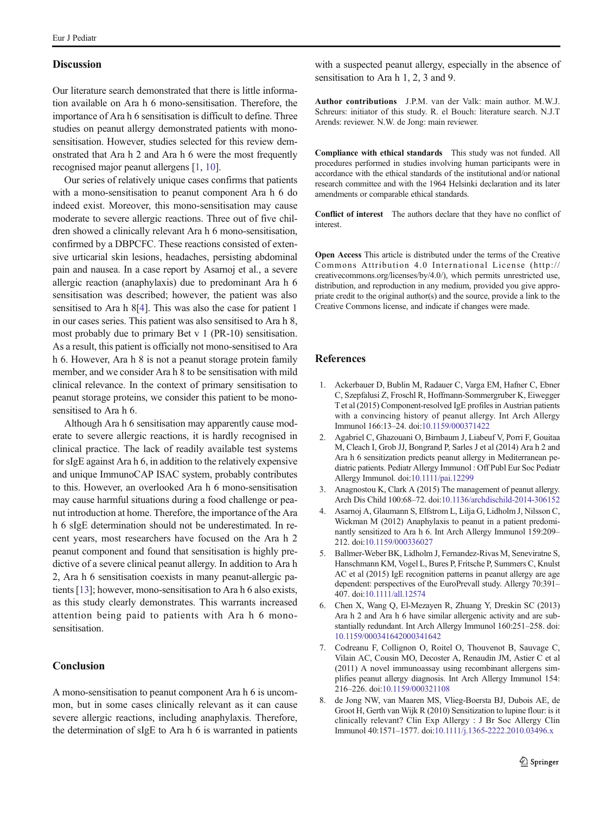## <span id="page-6-0"></span>**Discussion**

Our literature search demonstrated that there is little information available on Ara h 6 mono-sensitisation. Therefore, the importance of Ara h 6 sensitisation is difficult to define. Three studies on peanut allergy demonstrated patients with monosensitisation. However, studies selected for this review demonstrated that Ara h 2 and Ara h 6 were the most frequently recognised major peanut allergens [1, [10](#page-7-0)].

Our series of relatively unique cases confirms that patients with a mono-sensitisation to peanut component Ara h 6 do indeed exist. Moreover, this mono-sensitisation may cause moderate to severe allergic reactions. Three out of five children showed a clinically relevant Ara h 6 mono-sensitisation, confirmed by a DBPCFC. These reactions consisted of extensive urticarial skin lesions, headaches, persisting abdominal pain and nausea. In a case report by Asarnoj et al., a severe allergic reaction (anaphylaxis) due to predominant Ara h 6 sensitisation was described; however, the patient was also sensitised to Ara h 8[4]. This was also the case for patient 1 in our cases series. This patient was also sensitised to Ara h 8, most probably due to primary Bet v 1 (PR-10) sensitisation. As a result, this patient is officially not mono-sensitised to Ara h 6. However, Ara h 8 is not a peanut storage protein family member, and we consider Ara h 8 to be sensitisation with mild clinical relevance. In the context of primary sensitisation to peanut storage proteins, we consider this patient to be monosensitised to Ara h 6.

Although Ara h 6 sensitisation may apparently cause moderate to severe allergic reactions, it is hardly recognised in clinical practice. The lack of readily available test systems for sIgE against Ara h 6, in addition to the relatively expensive and unique ImmunoCAP ISAC system, probably contributes to this. However, an overlooked Ara h 6 mono-sensitisation may cause harmful situations during a food challenge or peanut introduction at home. Therefore, the importance of the Ara h 6 sIgE determination should not be underestimated. In recent years, most researchers have focused on the Ara h 2 peanut component and found that sensitisation is highly predictive of a severe clinical peanut allergy. In addition to Ara h 2, Ara h 6 sensitisation coexists in many peanut-allergic patients [\[13\]](#page-7-0); however, mono-sensitisation to Ara h 6 also exists, as this study clearly demonstrates. This warrants increased attention being paid to patients with Ara h 6 monosensitisation.

# Conclusion

A mono-sensitisation to peanut component Ara h 6 is uncommon, but in some cases clinically relevant as it can cause severe allergic reactions, including anaphylaxis. Therefore, the determination of sIgE to Ara h 6 is warranted in patients

with a suspected peanut allergy, especially in the absence of sensitisation to Ara h 1, 2, 3 and 9.

Author contributions J.P.M. van der Valk: main author. M.W.J. Schreurs: initiator of this study. R. el Bouch: literature search. N.J.T Arends: reviewer. N.W. de Jong: main reviewer.

Compliance with ethical standards This study was not funded. All procedures performed in studies involving human participants were in accordance with the ethical standards of the institutional and/or national research committee and with the 1964 Helsinki declaration and its later amendments or comparable ethical standards.

Conflict of interest The authors declare that they have no conflict of interest.

Open Access This article is distributed under the terms of the Creative Commons Attribution 4.0 International License (http:// creativecommons.org/licenses/by/4.0/), which permits unrestricted use, distribution, and reproduction in any medium, provided you give appropriate credit to the original author(s) and the source, provide a link to the Creative Commons license, and indicate if changes were made.

# References

- 1. Ackerbauer D, Bublin M, Radauer C, Varga EM, Hafner C, Ebner C, Szepfalusi Z, Froschl R, Hoffmann-Sommergruber K, Eiwegger T et al (2015) Component-resolved IgE profiles in Austrian patients with a convincing history of peanut allergy. Int Arch Allergy Immunol 166:13–24. doi[:10.1159/000371422](http://dx.doi.org/10.1159/000371422)
- 2. Agabriel C, Ghazouani O, Birnbaum J, Liabeuf V, Porri F, Gouitaa M, Cleach I, Grob JJ, Bongrand P, Sarles J et al (2014) Ara h 2 and Ara h 6 sensitization predicts peanut allergy in Mediterranean pediatric patients. Pediatr Allergy Immunol : Off Publ Eur Soc Pediatr Allergy Immunol. doi:[10.1111/pai.12299](http://dx.doi.org/10.1111/pai.12299)
- 3. Anagnostou K, Clark A (2015) The management of peanut allergy. Arch Dis Child 100:68–72. doi[:10.1136/archdischild-2014-306152](http://dx.doi.org/10.1136/archdischild-2014-306152)
- 4. Asarnoj A, Glaumann S, Elfstrom L, Lilja G, Lidholm J, Nilsson C, Wickman M (2012) Anaphylaxis to peanut in a patient predominantly sensitized to Ara h 6. Int Arch Allergy Immunol 159:209– 212. doi:[10.1159/000336027](http://dx.doi.org/10.1159/000336027)
- 5. Ballmer-Weber BK, Lidholm J, Fernandez-Rivas M, Seneviratne S, Hanschmann KM, Vogel L, Bures P, Fritsche P, Summers C, Knulst AC et al (2015) IgE recognition patterns in peanut allergy are age dependent: perspectives of the EuroPrevall study. Allergy 70:391– 407. doi:[10.1111/all.12574](http://dx.doi.org/10.1111/all.12574)
- 6. Chen X, Wang Q, El-Mezayen R, Zhuang Y, Dreskin SC (2013) Ara h 2 and Ara h 6 have similar allergenic activity and are substantially redundant. Int Arch Allergy Immunol 160:251–258. doi: [10.1159/000341642000341642](http://dx.doi.org/10.1159/000341642000341642)
- 7. Codreanu F, Collignon O, Roitel O, Thouvenot B, Sauvage C, Vilain AC, Cousin MO, Decoster A, Renaudin JM, Astier C et al (2011) A novel immunoassay using recombinant allergens simplifies peanut allergy diagnosis. Int Arch Allergy Immunol 154: 216–226. doi[:10.1159/000321108](http://dx.doi.org/10.1159/000321108)
- 8. de Jong NW, van Maaren MS, Vlieg-Boersta BJ, Dubois AE, de Groot H, Gerth van Wijk R (2010) Sensitization to lupine flour: is it clinically relevant? Clin Exp Allergy : J Br Soc Allergy Clin Immunol 40:1571–1577. doi[:10.1111/j.1365-2222.2010.03496.x](http://dx.doi.org/10.1111/j.1365-2222.2010.03496.x)